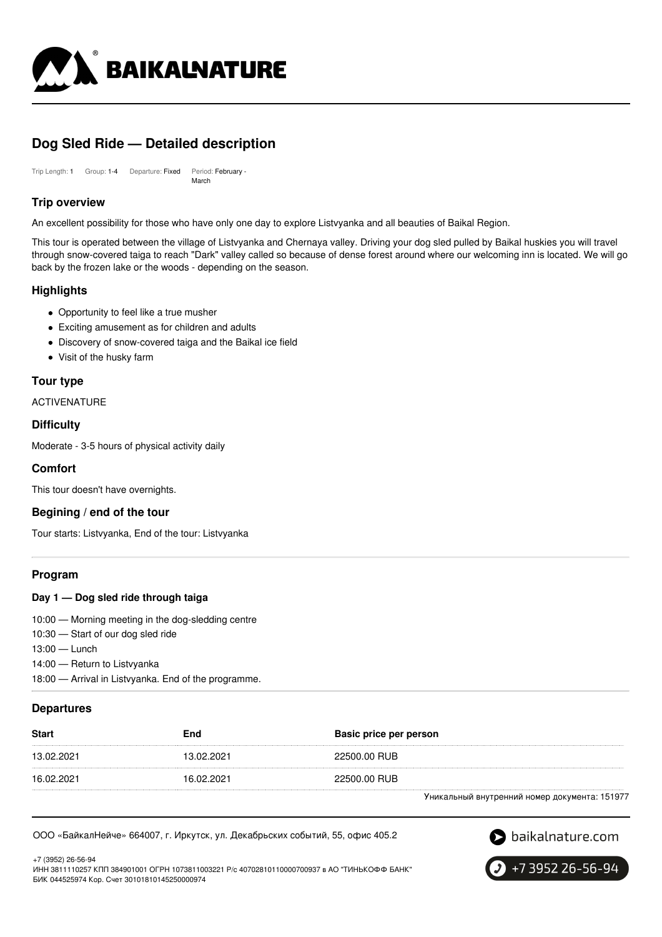

# **Dog Sled Ride — Detailed description**

Trip Length: 1 Group: 1-4 Departure: Fixed Period: February - March

## **Trip overview**

An excellent possibility for those who have only one day to explore Listvyanka and all beauties of Baikal Region.

This tour is operated between the village of Listvyanka and Chernaya valley. Driving your dog sled pulled by Baikal huskies you will travel through snow-covered taiga to reach "Dark" valley called so because of dense forest around where our welcoming inn is located. We will go back by the frozen lake or the woods - depending on the season.

## **Highlights**

- Opportunity to feel like a true musher
- Exciting amusement as for children and adults
- Discovery of snow-covered taiga and the Baikal ice field
- Visit of the husky farm

## **Tour type**

ACTIVENATURE

## **Difficulty**

Moderate - 3-5 hours of physical activity daily

## **Comfort**

This tour doesn't have overnights.

## **Begining / end of the tour**

Tour starts: Listvyanka, End of the tour: Listvyanka

## **Program**

### **Day 1 — Dog sled ride through taiga**

10:00 — Morning meeting in the dog-sledding centre

10:30 — Start of our dog sled ride

13:00 — Lunch

14:00 — Return to Listvyanka

18:00 — Arrival in Listvyanka. End of the programme.

## **Departures**

| <b>Start</b> | End        | Basic price per person |
|--------------|------------|------------------------|
| 13.02.2021   | 13.02.2021 | 22500.00 RUB           |
| 16.02.2021   | 16.02.2021 | 22500.00 RUB           |
|              |            | .                      |

Уникальный внутренний номер документа: 151977

#### ООО «БайкалНейче» 664007, г. Иркутск, ул. Декабрьских событий, 55, офис 405.2



+7 (3952) 26-56-94 ИНН 3811110257 КПП 384901001 ОГРН 1073811003221 Р/с 40702810110000700937 в АО "ТИНЬКОФФ БАНК" БИК 044525974 Кор. Счет 30101810145250000974

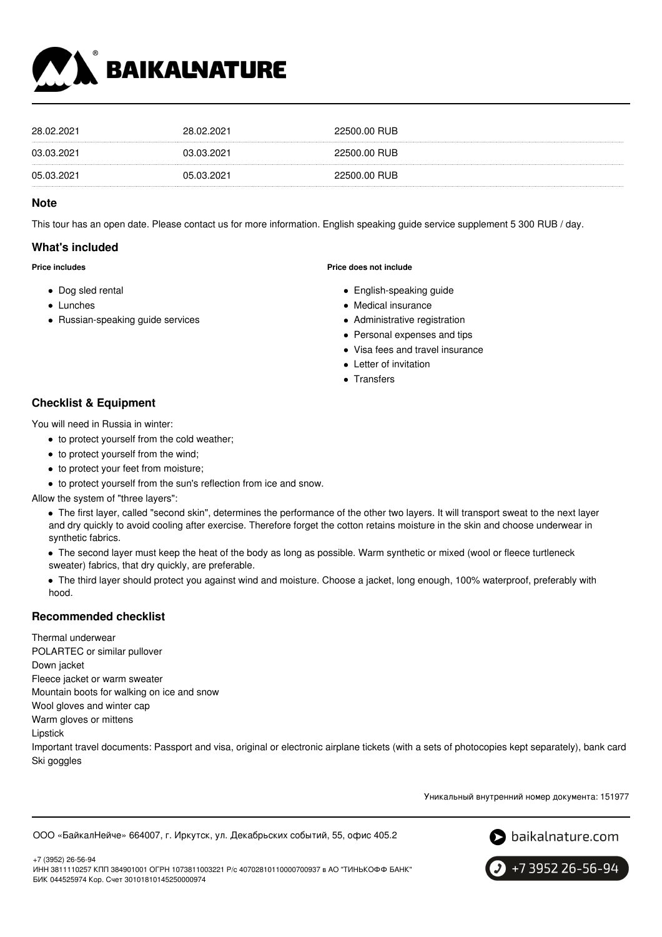

| 28.02.2021 | 28.02.2021 | 22500.00 RUB |
|------------|------------|--------------|
| 03.03.2021 | 03.03.2021 | 22500.00 RUB |
| 05.03.2021 | 05.03.2021 | 22500.00 RUB |

### **Note**

This tour has an open date. Please contact us for more information. English speaking guide service supplement 5 300 RUB / day.

## **What's included**

**Price includes**

- Dog sled rental
- Lunches
- Russian-speaking guide services

#### **Price does not include**

- English-speaking guide
- Medical insurance
- Administrative registration
- Personal expenses and tips
- Visa fees and travel insurance
- Letter of invitation
- Transfers

## **Checklist & Equipment**

You will need in Russia in winter:

- to protect yourself from the cold weather;
- to protect yourself from the wind;
- to protect your feet from moisture;
- to protect yourself from the sun's reflection from ice and snow.

Allow the system of "three layers":

The first layer, called "second skin", determines the performance of the other two layers. It will transport sweat to the next layer and dry quickly to avoid cooling after exercise. Therefore forget the cotton retains moisture in the skin and choose underwear in synthetic fabrics.

The second layer must keep the heat of the body as long as possible. Warm synthetic or mixed (wool or fleece turtleneck sweater) fabrics, that dry quickly, are preferable.

The third layer should protect you against wind and moisture. Choose a jacket, long enough, 100% waterproof, preferably with hood.

## **Recommended checklist**

Thermal underwear POLARTEC or similar pullover Down jacket Fleece jacket or warm sweater Mountain boots for walking on ice and snow Wool gloves and winter cap Warm gloves or mittens Lipstick Important travel documents: Passport and visa, original or electronic airplane tickets (with a sets of photocopies kept separately), bank card Ski goggles

Уникальный внутренний номер документа: 151977

ООО «БайкалНейче» 664007, г. Иркутск, ул. Декабрьских событий, 55, офис 405.2



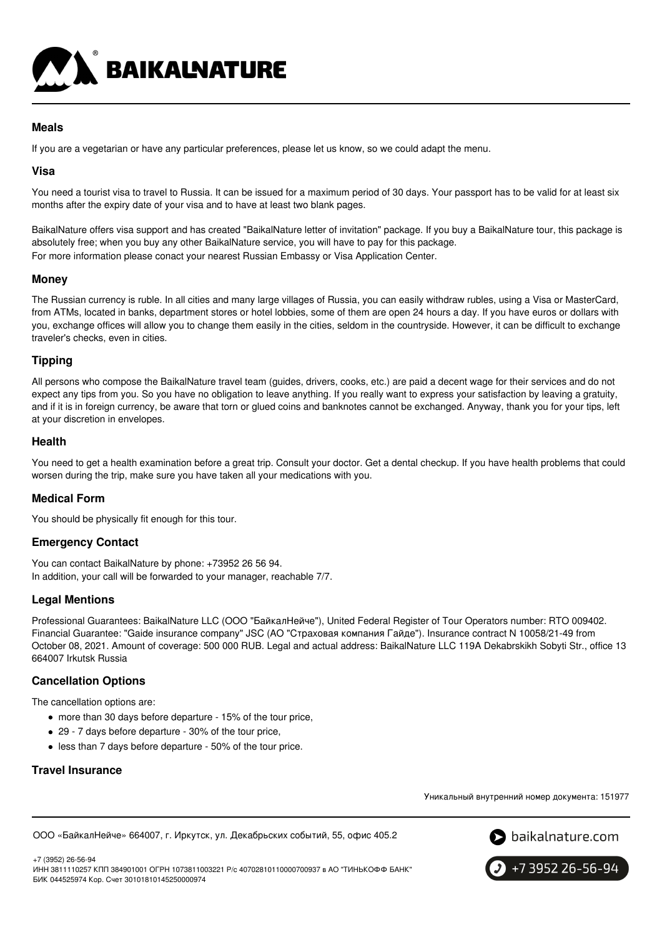

## **Meals**

If you are a vegetarian or have any particular preferences, please let us know, so we could adapt the menu.

## **Visa**

You need a tourist visa to travel to Russia. It can be issued for a maximum period of 30 days. Your passport has to be valid for at least six months after the expiry date of your visa and to have at least two blank pages.

BaikalNature offers visa support and has created "BaikalNature letter of invitation" package. If you buy a BaikalNature tour, this package is absolutely free; when you buy any other BaikalNature service, you will have to pay for this package. For more information please conact your nearest Russian Embassy or Visa Application Center.

## **Money**

The Russian currency is ruble. In all cities and many large villages of Russia, you can easily withdraw rubles, using a Visa or MasterCard, from ATMs, located in banks, department stores or hotel lobbies, some of them are open 24 hours a day. If you have euros or dollars with you, exchange offices will allow you to change them easily in the cities, seldom in the countryside. However, it can be difficult to exchange traveler's checks, even in cities.

## **Tipping**

All persons who compose the BaikalNature travel team (guides, drivers, cooks, etc.) are paid a decent wage for their services and do not expect any tips from you. So you have no obligation to leave anything. If you really want to express your satisfaction by leaving a gratuity, and if it is in foreign currency, be aware that torn or glued coins and banknotes cannot be exchanged. Anyway, thank you for your tips, left at your discretion in envelopes.

## **Health**

You need to get a health examination before a great trip. Consult your doctor. Get a dental checkup. If you have health problems that could worsen during the trip, make sure you have taken all your medications with you.

## **Medical Form**

You should be physically fit enough for this tour.

## **Emergency Contact**

You can contact BaikalNature by phone: +73952 26 56 94. In addition, your call will be forwarded to your manager, reachable 7/7.

## **Legal Mentions**

Professional Guarantees: BaikalNature LLC (ООО "БайкалНейче"), United Federal Register of Tour Operators number: RTO 009402. Financial Guarantee: "Gaide insurance company" JSC (АО "Страховая компания Гайде"). Insurance contract N 10058/21-49 from October 08, 2021. Amount of coverage: 500 000 RUB. Legal and actual address: BaikalNature LLC 119А Dekabrskikh Sobyti Str., office 13 664007 Irkutsk Russia

## **Cancellation Options**

The cancellation options are:

- more than 30 days before departure 15% of the tour price,
- 29 7 days before departure 30% of the tour price,
- less than 7 days before departure 50% of the tour price.

## **Travel Insurance**

Уникальный внутренний номер документа: 151977

ООО «БайкалНейче» 664007, г. Иркутск, ул. Декабрьских событий, 55, офис 405.2



+7 (3952) 26-56-94 ИНН 3811110257 КПП 384901001 ОГРН 1073811003221 Р/с 40702810110000700937 в АО "ТИНЬКОФФ БАНК" БИК 044525974 Кор. Счет 30101810145250000974